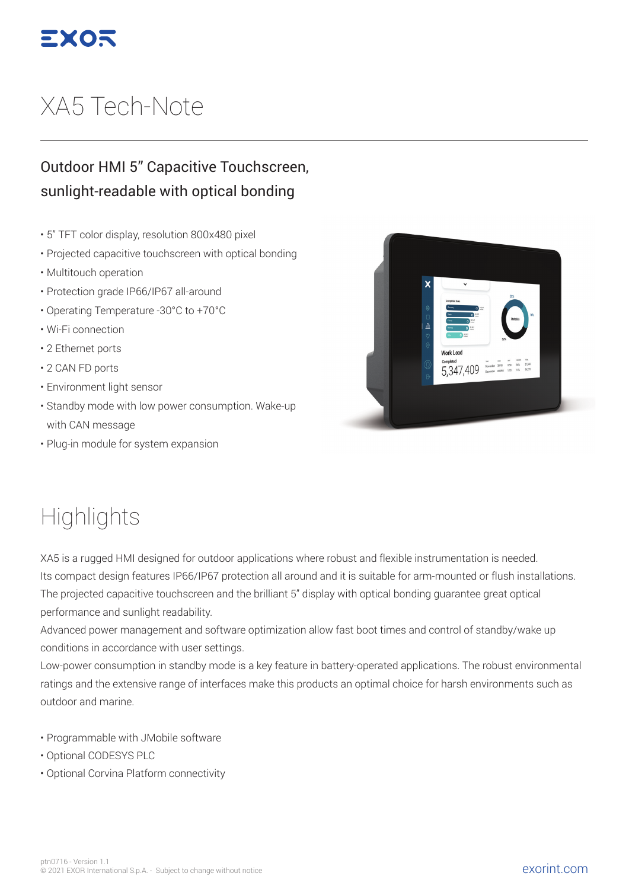

## XA5 Tech -Note

## Outdoor HMI 5" Capacitive Touchscreen, sunlight-readable with optical bonding

- 5" TFT color display, resolution 800x480 pixel
- Projected capacitive touchscreen with optical bonding
- Multitouch operation
- Protection grade IP66/IP67 all-around
- Operating Temperature -30°C to +70°C
- Wi-Fi connection
- 2 Ethernet ports
- 2 CAN FD ports
- Environment light sensor
- Standby mode with low power consumption. Wake-up with CAN message
- Plug-in module for system expansion



## **Highlights**

XA5 is a rugged HMI designed for outdoor applications where robust and flexible instrumentation is needed. Its compact design features IP66/IP67 protection all around and it is suitable for arm-mounted or flush installations. The projected capacitive touchscreen and the brilliant 5" display with optical bonding guarantee great optical performance and sunlight readability.

Advanced power management and software optimization allow fast boot times and control of standby/wake up conditions in accordance with user settings.

Low-power consumption in standby mode is a key feature in battery-operated applications. The robust environmental ratings and the extensive range of interfaces make this products an optimal choice for harsh environments such as outdoor and marine.

- Programmable with JMobile software
- Optional CODESYS PLC
- Optional Corvina Platform connectivity